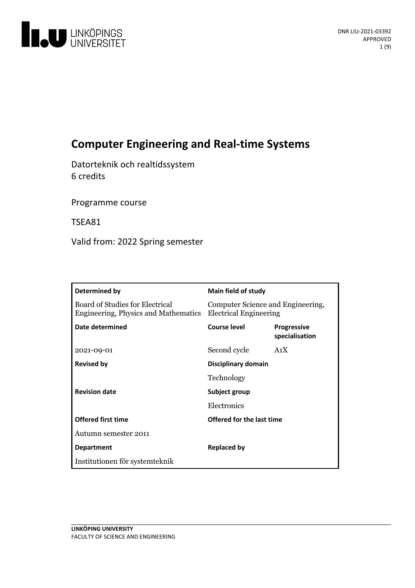

# **Computer Engineering and Real-time Systems**

Datorteknik och realtidssystem 6 credits

Programme course

TSEA81

Valid from: 2022 Spring semester

| Determined by                                                           | Main field of study                                                |                                      |
|-------------------------------------------------------------------------|--------------------------------------------------------------------|--------------------------------------|
| Board of Studies for Electrical<br>Engineering, Physics and Mathematics | Computer Science and Engineering,<br><b>Electrical Engineering</b> |                                      |
| Date determined                                                         | Course level                                                       | <b>Progressive</b><br>specialisation |
| 2021-09-01                                                              | Second cycle                                                       | A <sub>1</sub> X                     |
| <b>Revised by</b>                                                       | Disciplinary domain                                                |                                      |
|                                                                         | Technology                                                         |                                      |
| <b>Revision date</b>                                                    | Subject group                                                      |                                      |
|                                                                         | Electronics                                                        |                                      |
| <b>Offered first time</b>                                               | Offered for the last time                                          |                                      |
| Autumn semester 2011                                                    |                                                                    |                                      |
| <b>Department</b>                                                       | <b>Replaced by</b>                                                 |                                      |
| Institutionen för systemteknik                                          |                                                                    |                                      |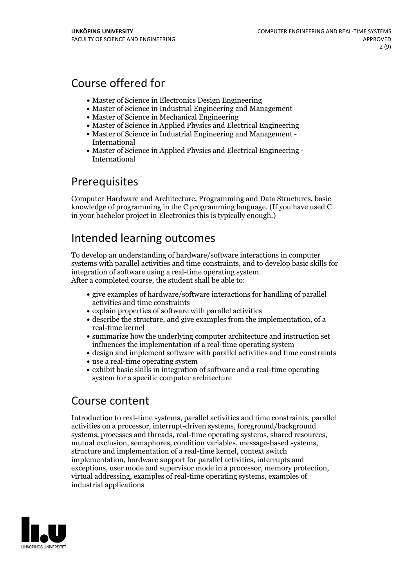## Course offered for

- Master of Science in Electronics Design Engineering
- Master of Science in Industrial Engineering and Management
- Master of Science in Mechanical Engineering
- Master of Science in Applied Physics and Electrical Engineering
- Master of Science in Industrial Engineering and Management International
- Master of Science in Applied Physics and Electrical Engineering International

## **Prerequisites**

Computer Hardware and Architecture, Programming and Data Structures, basic knowledge of programming in the C programming language. (If you have used  $C$ in your bachelor project in Electronics this is typically enough.)

# Intended learning outcomes

To develop an understanding of hardware/software interactions in computer systems with parallel activities and time constraints, and to develop basic skills for integration of software using <sup>a</sup> real-time operating system. After <sup>a</sup> completed course, the student shall be able to:

- give examples of hardware/software interactions for handling of parallel activities and time constraints
- explain properties of software with parallel activities
- describe the structure, and give examples from the implementation, of a real-time kernel
- summarize how the underlying computer architecture and instruction set influences the implementation of a real-time operating system
- design and implement software with parallel activities and time constraints
- use a real-time operating system
- exhibit basic skills in integration of software and a real-time operating system for a specific computer architecture

## Course content

Introduction to real-time systems, parallel activities and time constraints, parallel activities on a processor, interrupt-driven systems, foreground/background systems, processes and threads, real-time operating systems, shared resources, mutual exclusion, semaphores, condition variables, message-based systems, structure and implementation of <sup>a</sup> real-time kernel, context switch implementation, hardware support for parallel activities, interrupts and exceptions, user mode and supervisor mode in <sup>a</sup> processor, memory protection, virtual addressing, examples of real-time operating systems, examples of industrial applications

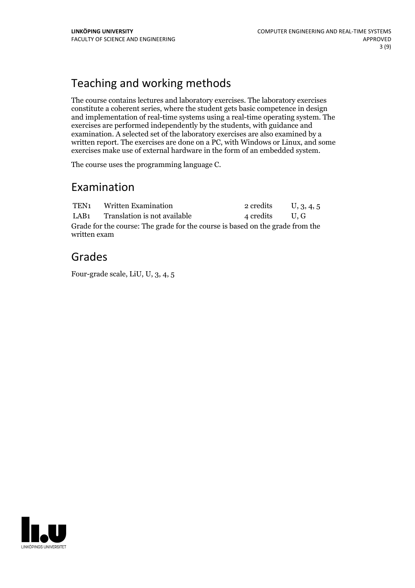# Teaching and working methods

The course contains lectures and laboratory exercises. The laboratory exercises constitute a coherent series, where the student gets basic competence in design and implementation of real-time systems using a real-time operating system. The exercises are performed independently by the students, with guidance and examination. A selected set of the laboratory exercises are also examined by a written report. The exercises are done on a PC, with Windows or Linux, and some exercises make use of external hardware in the form of an embedded system.

The course uses the programming language C.

## Examination

|                                                                                               | TEN <sub>1</sub> Written Examination | 2 credits      | U, 3, 4, 5 |  |  |
|-----------------------------------------------------------------------------------------------|--------------------------------------|----------------|------------|--|--|
|                                                                                               | LAB1 Translation is not available    | 4 credits U, G |            |  |  |
| Grade for the course: The grade for the course is based on the grade from the<br>written exam |                                      |                |            |  |  |

## Grades

Four-grade scale, LiU, U, 3, 4, 5

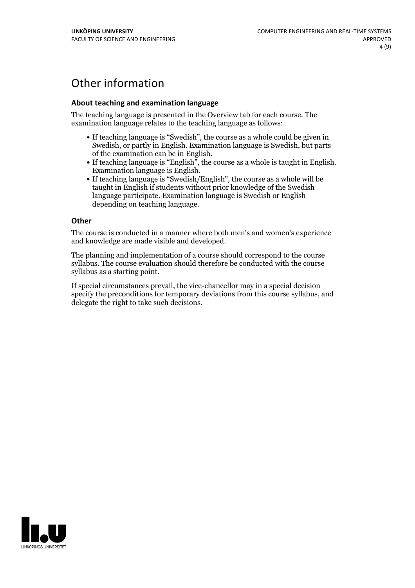# Other information

### **About teaching and examination language**

The teaching language is presented in the Overview tab for each course. The examination language relates to the teaching language as follows:

- If teaching language is "Swedish", the course as a whole could be given in Swedish, or partly in English. Examination language is Swedish, but parts
- of the examination can be in English. If teaching language is "English", the course as <sup>a</sup> whole is taught in English. Examination language is English. If teaching language is "Swedish/English", the course as <sup>a</sup> whole will be
- taught in English if students without prior knowledge of the Swedish language participate. Examination language is Swedish or English depending on teaching language.

#### **Other**

The course is conducted in a manner where both men's and women's experience and knowledge are made visible and developed.

The planning and implementation of a course should correspond to the course syllabus. The course evaluation should therefore be conducted with the course syllabus as a starting point.

If special circumstances prevail, the vice-chancellor may in a special decision specify the preconditions for temporary deviations from this course syllabus, and delegate the right to take such decisions.

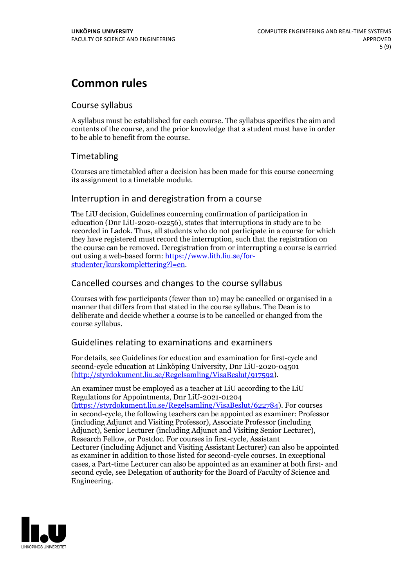# **Common rules**

## Course syllabus

A syllabus must be established for each course. The syllabus specifies the aim and contents of the course, and the prior knowledge that a student must have in order to be able to benefit from the course.

## Timetabling

Courses are timetabled after a decision has been made for this course concerning its assignment to a timetable module.

## Interruption in and deregistration from a course

The LiU decision, Guidelines concerning confirmation of participation in education (Dnr LiU-2020-02256), states that interruptions in study are to be recorded in Ladok. Thus, all students who do not participate in a course for which they have registered must record the interruption, such that the registration on the course can be removed. Deregistration from or interrupting a course is carried out using <sup>a</sup> web-based form: https://www.lith.liu.se/for- [studenter/kurskomplettering?l=en.](https://www.lith.liu.se/for-studenter/kurskomplettering?l=en)

## Cancelled coursesand changes to the course syllabus

Courses with few participants (fewer than 10) may be cancelled or organised in a manner that differs from that stated in the course syllabus. The Dean is to deliberate and decide whether a course is to be cancelled or changed from the course syllabus.

## Guidelines relating to examinations and examiners

For details, see Guidelines for education and examination for first-cycle and second-cycle education at Linköping University, Dnr LiU-2020-04501 [\(http://styrdokument.liu.se/Regelsamling/VisaBeslut/917592\)](http://styrdokument.liu.se/Regelsamling/VisaBeslut/917592).

An examiner must be employed as a teacher at LiU according to the LiU Regulations for Appointments, Dnr LiU-2021-01204 [\(https://styrdokument.liu.se/Regelsamling/VisaBeslut/622784](https://styrdokument.liu.se/Regelsamling/VisaBeslut/622784)). For courses in second-cycle, the following teachers can be appointed as examiner: Professor (including Adjunct and Visiting Professor), Associate Professor (including Adjunct), Senior Lecturer (including Adjunct and Visiting Senior Lecturer), Research Fellow, or Postdoc. For courses in first-cycle, Assistant Lecturer (including Adjunct and Visiting Assistant Lecturer) can also be appointed as examiner in addition to those listed for second-cycle courses. In exceptional cases, a Part-time Lecturer can also be appointed as an examiner at both first- and second cycle, see Delegation of authority for the Board of Faculty of Science and Engineering.

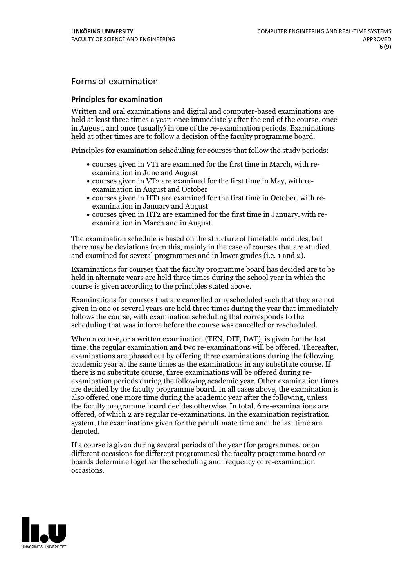## Forms of examination

#### **Principles for examination**

Written and oral examinations and digital and computer-based examinations are held at least three times a year: once immediately after the end of the course, once in August, and once (usually) in one of the re-examination periods. Examinations held at other times are to follow a decision of the faculty programme board.

Principles for examination scheduling for courses that follow the study periods:

- courses given in VT1 are examined for the first time in March, with re-examination in June and August
- courses given in VT2 are examined for the first time in May, with re-examination in August and October
- courses given in HT1 are examined for the first time in October, with re-examination in January and August
- courses given in HT2 are examined for the first time in January, with re-examination in March and in August.

The examination schedule is based on the structure of timetable modules, but there may be deviations from this, mainly in the case of courses that are studied and examined for several programmes and in lower grades (i.e. 1 and 2).

Examinations for courses that the faculty programme board has decided are to be held in alternate years are held three times during the school year in which the course is given according to the principles stated above.

Examinations for courses that are cancelled orrescheduled such that they are not given in one or several years are held three times during the year that immediately follows the course, with examination scheduling that corresponds to the scheduling that was in force before the course was cancelled or rescheduled.

When a course, or a written examination (TEN, DIT, DAT), is given for the last time, the regular examination and two re-examinations will be offered. Thereafter, examinations are phased out by offering three examinations during the following academic year at the same times as the examinations in any substitute course. If there is no substitute course, three examinations will be offered during re- examination periods during the following academic year. Other examination times are decided by the faculty programme board. In all cases above, the examination is also offered one more time during the academic year after the following, unless the faculty programme board decides otherwise. In total, 6 re-examinations are offered, of which 2 are regular re-examinations. In the examination registration system, the examinations given for the penultimate time and the last time are denoted.

If a course is given during several periods of the year (for programmes, or on different occasions for different programmes) the faculty programme board or boards determine together the scheduling and frequency of re-examination occasions.

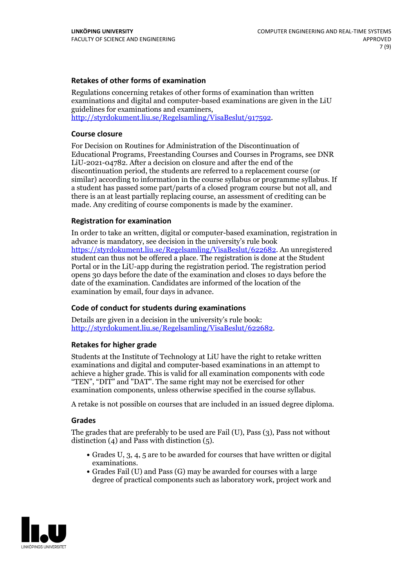### **Retakes of other forms of examination**

Regulations concerning retakes of other forms of examination than written examinations and digital and computer-based examinations are given in the LiU guidelines for examinations and examiners, [http://styrdokument.liu.se/Regelsamling/VisaBeslut/917592.](http://styrdokument.liu.se/Regelsamling/VisaBeslut/917592)

#### **Course closure**

For Decision on Routines for Administration of the Discontinuation of Educational Programs, Freestanding Courses and Courses in Programs, see DNR LiU-2021-04782. After a decision on closure and after the end of the discontinuation period, the students are referred to a replacement course (or similar) according to information in the course syllabus or programme syllabus. If a student has passed some part/parts of a closed program course but not all, and there is an at least partially replacing course, an assessment of crediting can be made. Any crediting of course components is made by the examiner.

### **Registration for examination**

In order to take an written, digital or computer-based examination, registration in advance is mandatory, see decision in the university's rule book [https://styrdokument.liu.se/Regelsamling/VisaBeslut/622682.](https://styrdokument.liu.se/Regelsamling/VisaBeslut/622682) An unregistered student can thus not be offered a place. The registration is done at the Student Portal or in the LiU-app during the registration period. The registration period opens 30 days before the date of the examination and closes 10 days before the date of the examination. Candidates are informed of the location of the examination by email, four days in advance.

### **Code of conduct for students during examinations**

Details are given in a decision in the university's rule book: <http://styrdokument.liu.se/Regelsamling/VisaBeslut/622682>.

#### **Retakes for higher grade**

Students at the Institute of Technology at LiU have the right to retake written examinations and digital and computer-based examinations in an attempt to achieve a higher grade. This is valid for all examination components with code "TEN", "DIT" and "DAT". The same right may not be exercised for other examination components, unless otherwise specified in the course syllabus.

A retake is not possible on courses that are included in an issued degree diploma.

#### **Grades**

The grades that are preferably to be used are Fail (U), Pass (3), Pass not without distinction  $(4)$  and Pass with distinction  $(5)$ .

- Grades U, 3, 4, 5 are to be awarded for courses that have written or digital examinations.<br>• Grades Fail (U) and Pass (G) may be awarded for courses with a large
- degree of practical components such as laboratory work, project work and

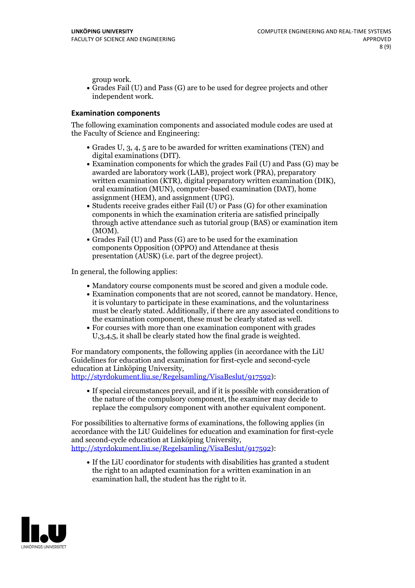group work.<br>• Grades Fail (U) and Pass (G) are to be used for degree projects and other independent work.

#### **Examination components**

The following examination components and associated module codes are used at the Faculty of Science and Engineering:

- Grades U, 3, 4, 5 are to be awarded for written examinations (TEN) and
- digital examinations (DIT).<br>• Examination components for which the grades Fail (U) and Pass (G) may be awarded are laboratory work (LAB), project work (PRA), preparatory written examination (KTR), digital preparatory written examination (DIK), oral examination (MUN), computer-based examination (DAT), home
- assignment (HEM), and assignment (UPG).<br>• Students receive grades either Fail (U) or Pass (G) for other examination components in which the examination criteria are satisfied principally through active attendance such as tutorial group (BAS) or examination item
- (MOM).<br>• Grades Fail (U) and Pass (G) are to be used for the examination components Opposition (OPPO) and Attendance at thesis presentation (AUSK) (i.e. part of the degree project).

In general, the following applies:

- 
- Mandatory course components must be scored and given <sup>a</sup> module code. Examination components that are not scored, cannot be mandatory. Hence, it is voluntary to participate in these examinations, and the voluntariness must be clearly stated. Additionally, if there are any associated conditions to
- the examination component, these must be clearly stated as well.<br>• For courses with more than one examination component with grades U,3,4,5, it shall be clearly stated how the final grade is weighted.

For mandatory components, the following applies (in accordance with the LiU Guidelines for education and examination for first-cycle and second-cycle

[http://styrdokument.liu.se/Regelsamling/VisaBeslut/917592\)](http://styrdokument.liu.se/Regelsamling/VisaBeslut/917592):

If special circumstances prevail, and if it is possible with consideration of the nature of the compulsory component, the examiner may decide to replace the compulsory component with another equivalent component.

For possibilities to alternative forms of examinations, the following applies (in accordance with the LiU Guidelines for education and examination for first-cycle [http://styrdokument.liu.se/Regelsamling/VisaBeslut/917592\)](http://styrdokument.liu.se/Regelsamling/VisaBeslut/917592):

If the LiU coordinator for students with disabilities has granted a student the right to an adapted examination for a written examination in an examination hall, the student has the right to it.